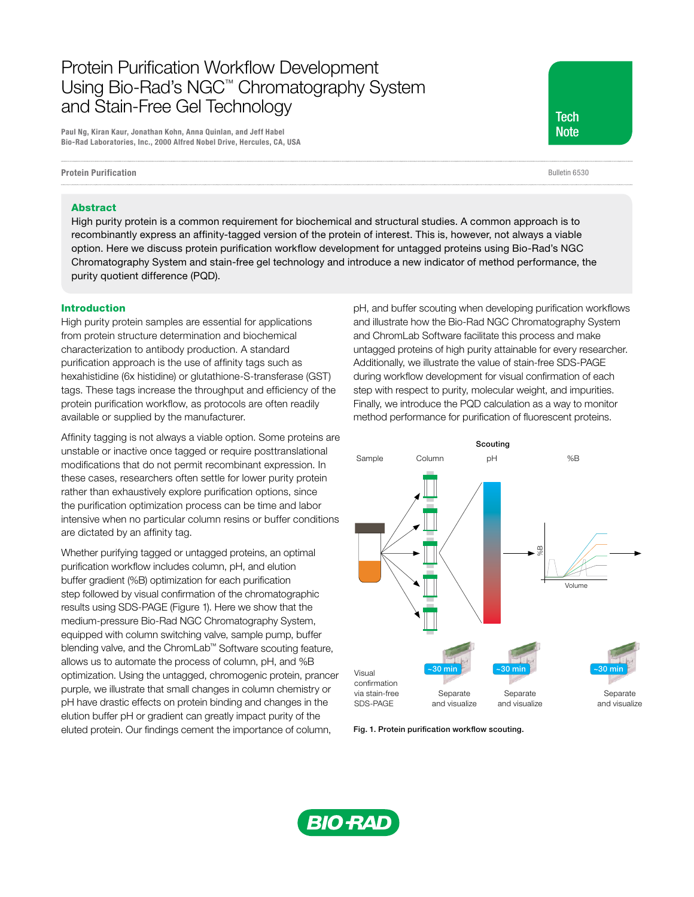# Protein Purification Workflow Development Using Bio-Rad's NGC™ Chromatography System and Stain-Free Gel Technology

Paul Ng, Kiran Kaur, Jonathan Kohn, Anna Quinlan, and Jeff Habel Bio-Rad Laboratories, Inc., 2000 Alfred Nobel Drive, Hercules, CA, USA

Protein Purification

**Tech Note** 

Bulletin 6530

#### Abstract

High purity protein is a common requirement for biochemical and structural studies. A common approach is to recombinantly express an affinity-tagged version of the protein of interest. This is, however, not always a viable option. Here we discuss protein purification workflow development for untagged proteins using Bio-Rad's NGC Chromatography System and stain-free gel technology and introduce a new indicator of method performance, the purity quotient difference (PQD).

#### Introduction

High purity protein samples are essential for applications from protein structure determination and biochemical characterization to antibody production. A standard purification approach is the use of affinity tags such as hexahistidine (6x histidine) or glutathione-S-transferase (GST) tags. These tags increase the throughput and efficiency of the protein purification workflow, as protocols are often readily available or supplied by the manufacturer.

Affinity tagging is not always a viable option. Some proteins are unstable or inactive once tagged or require posttranslational modifications that do not permit recombinant expression. In these cases, researchers often settle for lower purity protein rather than exhaustively explore purification options, since the purification optimization process can be time and labor intensive when no particular column resins or buffer conditions are dictated by an affinity tag.

Whether purifying tagged or untagged proteins, an optimal purification workflow includes column, pH, and elution buffer gradient (%B) optimization for each purification step followed by visual confirmation of the chromatographic results using SDS-PAGE (Figure 1). Here we show that the medium-pressure Bio-Rad NGC Chromatography System, equipped with column switching valve, sample pump, buffer blending valve, and the ChromLab™ Software scouting feature, allows us to automate the process of column, pH, and %B optimization. Using the untagged, chromogenic protein, prancer purple, we illustrate that small changes in column chemistry or pH have drastic effects on protein binding and changes in the elution buffer pH or gradient can greatly impact purity of the eluted protein. Our findings cement the importance of column,

pH, and buffer scouting when developing purification workflows and illustrate how the Bio-Rad NGC Chromatography System and ChromLab Software facilitate this process and make untagged proteins of high purity attainable for every researcher. Additionally, we illustrate the value of stain-free SDS-PAGE during workflow development for visual confirmation of each step with respect to purity, molecular weight, and impurities. Finally, we introduce the PQD calculation as a way to monitor method performance for purification of fluorescent proteins.



Fig. 1. Protein purification workflow scouting.

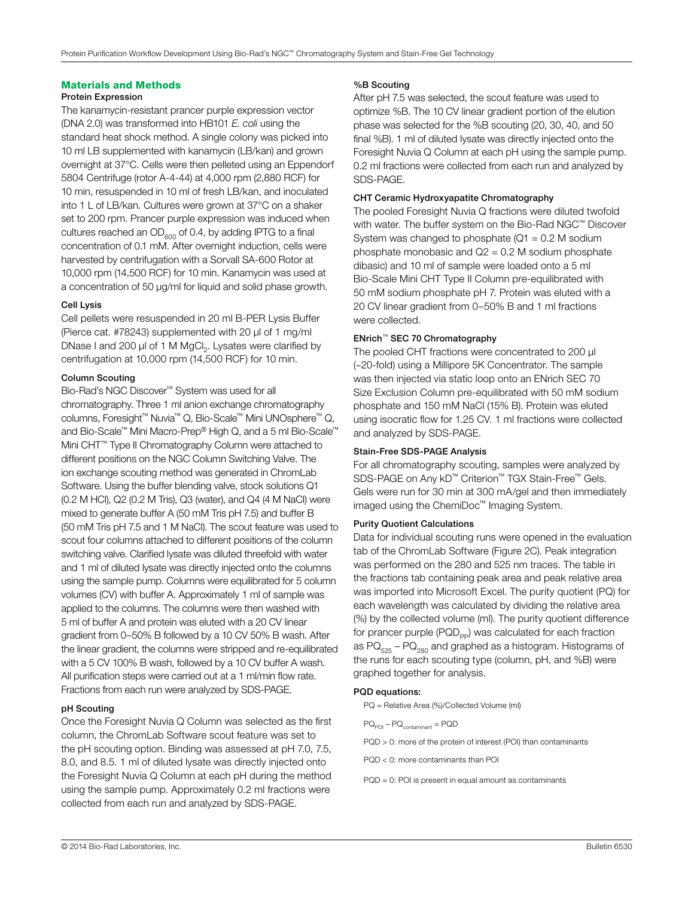## Materials and Methods

#### Protein Expression

The kanamycin-resistant prancer purple expression vector (DNA 2.0) was transformed into HB101 *E. coli* using the standard heat shock method. A single colony was picked into 10 ml LB supplemented with kanamycin (LB/kan) and grown overnight at 37°C. Cells were then pelleted using an Eppendorf 5804 Centrifuge (rotor A-4-44) at 4,000 rpm (2,880 RCF) for 10 min, resuspended in 10 ml of fresh LB/kan, and inoculated into 1 L of LB/kan. Cultures were grown at 37°C on a shaker set to 200 rpm. Prancer purple expression was induced when cultures reached an  $OD<sub>600</sub>$  of 0.4, by adding IPTG to a final concentration of 0.1 mM. After overnight induction, cells were harvested by centrifugation with a Sorvall SA-600 Rotor at 10,000 rpm (14,500 RCF) for 10 min. Kanamycin was used at a concentration of 50 μg/ml for liquid and solid phase growth.

## Cell Lysis

Cell pellets were resuspended in 20 ml B-PER Lysis Buffer (Pierce cat. #78243) supplemented with 20 μl of 1 mg/ml DNase I and 200 μl of 1 M MgCl<sub>2</sub>. Lysates were clarified by centrifugation at 10,000 rpm (14,500 RCF) for 10 min.

## Column Scouting

Bio-Rad's NGC Discover™ System was used for all chromatography. Three 1 ml anion exchange chromatography columns, Foresight™ Nuvia™ Q, Bio-Scale™ Mini UNOsphere™ Q, and Bio-Scale™ Mini Macro-Prep® High Q, and a 5 ml Bio-Scale™ Mini CHT™ Type II Chromatography Column were attached to different positions on the NGC Column Switching Valve. The ion exchange scouting method was generated in ChromLab Software. Using the buffer blending valve, stock solutions Q1 (0.2 M HCl), Q2 (0.2 M Tris), Q3 (water), and Q4 (4 M NaCl) were mixed to generate buffer A (50 mM Tris pH 7.5) and buffer B (50 mM Tris pH 7.5 and 1 M NaCl). The scout feature was used to scout four columns attached to different positions of the column switching valve. Clarified lysate was diluted threefold with water and 1 ml of diluted lysate was directly injected onto the columns using the sample pump. Columns were equilibrated for 5 column volumes (CV) with buffer A. Approximately 1 ml of sample was applied to the columns. The columns were then washed with 5 ml of buffer A and protein was eluted with a 20 CV linear gradient from 0–50% B followed by a 10 CV 50% B wash. After the linear gradient, the columns were stripped and re-equilibrated with a 5 CV 100% B wash, followed by a 10 CV buffer A wash. All purification steps were carried out at a 1 ml/min flow rate. Fractions from each run were analyzed by SDS-PAGE.

## pH Scouting

Once the Foresight Nuvia Q Column was selected as the first column, the ChromLab Software scout feature was set to the pH scouting option. Binding was assessed at pH 7.0, 7.5, 8.0, and 8.5. 1 ml of diluted lysate was directly injected onto the Foresight Nuvia Q Column at each pH during the method using the sample pump. Approximately 0.2 ml fractions were collected from each run and analyzed by SDS-PAGE.

## %B Scouting

After pH 7.5 was selected, the scout feature was used to optimize %B. The 10 CV linear gradient portion of the elution phase was selected for the %B scouting (20, 30, 40, and 50 final %B). 1 ml of diluted lysate was directly injected onto the Foresight Nuvia Q Column at each pH using the sample pump. 0.2 ml fractions were collected from each run and analyzed by SDS-PAGE.

## CHT Ceramic Hydroxyapatite Chromatography

The pooled Foresight Nuvia Q fractions were diluted twofold with water. The buffer system on the Bio-Rad NGC™ Discover System was changed to phosphate ( $Q1 = 0.2$  M sodium phosphate monobasic and  $Q2 = 0.2$  M sodium phosphate dibasic) and 10 ml of sample were loaded onto a 5 ml Bio-Scale Mini CHT Type II Column pre-equilibrated with 50 mM sodium phosphate pH 7. Protein was eluted with a 20 CV linear gradient from 0–50% B and 1 ml fractions were collected.

## ENrich™ SEC 70 Chromatography

The pooled CHT fractions were concentrated to 200 µl (~20-fold) using a Millipore 5K Concentrator. The sample was then injected via static loop onto an ENrich SEC 70 Size Exclusion Column pre-equilibrated with 50 mM sodium phosphate and 150 mM NaCl (15% B). Protein was eluted using isocratic flow for 1.25 CV. 1 ml fractions were collected and analyzed by SDS-PAGE.

## Stain-Free SDS-PAGE Analysis

For all chromatography scouting, samples were analyzed by SDS-PAGE on Any kD™ Criterion™ TGX Stain-Free™ Gels. Gels were run for 30 min at 300 mA/gel and then immediately imaged using the ChemiDoc™ Imaging System.

## Purity Quotient Calculations

Data for individual scouting runs were opened in the evaluation tab of the ChromLab Software (Figure 2C). Peak integration was performed on the 280 and 525 nm traces. The table in the fractions tab containing peak area and peak relative area was imported into Microsoft Excel. The purity quotient (PQ) for each wavelength was calculated by dividing the relative area (%) by the collected volume (ml). The purity quotient difference for prancer purple  $(PQD_{\text{pp}})$  was calculated for each fraction as  $PQ_{525} - PQ_{280}$  and graphed as a histogram. Histograms of the runs for each scouting type (column, pH, and %B) were graphed together for analysis.

## PQD equations:

PQ = Relative Area (%)/Collected Volume (ml)

 $PQ_{POI} - PQ_{\text{contaminant}} = PQD$ 

- PQD > 0: more of the protein of interest (POI) than contaminants
- PQD < 0: more contaminants than POI
- PQD = 0: POI is present in equal amount as contaminants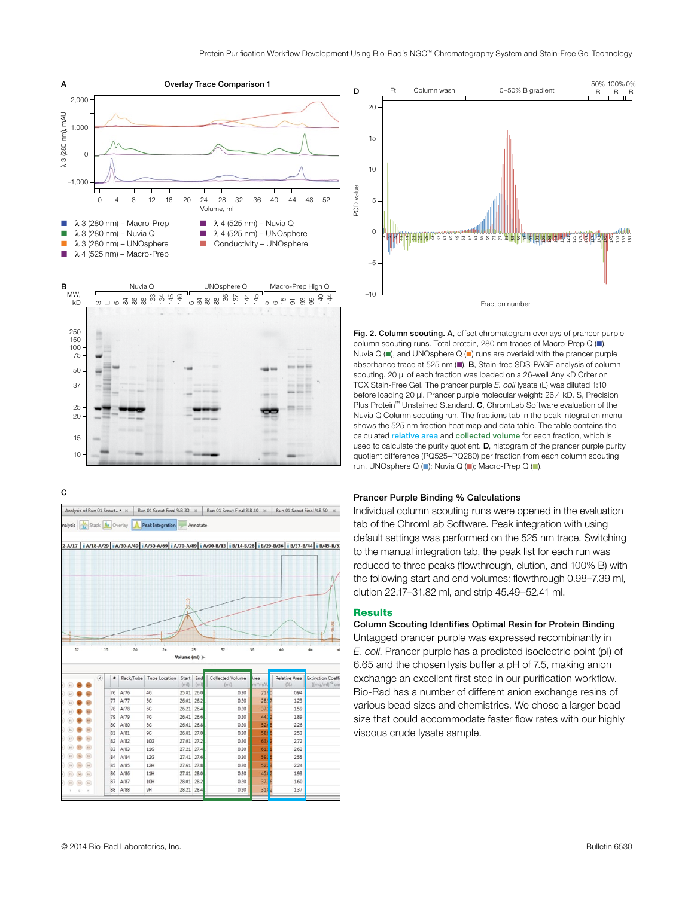

C





Fraction number

Fig. 2. Column scouting. A, offset chromatogram overlays of prancer purple column scouting runs. Total protein, 280 nm traces of Macro-Prep Q (n), Nuvia Q ( $\blacksquare$ ), and UNOsphere Q ( $\blacksquare$ ) runs are overlaid with the prancer purple absorbance trace at 525 nm  $\blacksquare$ ). B, Stain-free SDS-PAGE analysis of column scouting. 20 µl of each fraction was loaded on a 26-well Any kD Criterion TGX Stain-Free Gel. The prancer purple *E. coli* lysate (L) was diluted 1:10 before loading 20 µl. Prancer purple molecular weight: 26.4 kD. S, Precision Plus Protein<sup>™</sup> Unstained Standard. C, ChromLab Software evaluation of the Nuvia Q Column scouting run. The fractions tab in the peak integration menu shows the 525 nm fraction heat map and data table. The table contains the calculated relative area and collected volume for each fraction, which is used to calculate the purity quotient. **D**, histogram of the prancer purple purity quotient difference (PQ525–PQ280) per fraction from each column scouting run. UNOsphere Q ( $\blacksquare$ ); Nuvia Q ( $\blacksquare$ ); Macro-Prep Q ( $\blacksquare$ ).

#### Prancer Purple Binding % Calculations

Individual column scouting runs were opened in the evaluation tab of the ChromLab Software. Peak integration with using default settings was performed on the 525 nm trace. Switching to the manual integration tab, the peak list for each run was reduced to three peaks (flowthrough, elution, and 100% B) with the following start and end volumes: flowthrough 0.98–7.39 ml, elution 22.17–31.82 ml, and strip 45.49–52.41 ml.

#### **Results**

Column Scouting Identifies Optimal Resin for Protein Binding Untagged prancer purple was expressed recombinantly in *E. coli*. Prancer purple has a predicted isoelectric point (pI) of 6.65 and the chosen lysis buffer a pH of 7.5, making anion exchange an excellent first step in our purification workflow. Bio-Rad has a number of different anion exchange resins of various bead sizes and chemistries. We chose a larger bead size that could accommodate faster flow rates with our highly viscous crude lysate sample.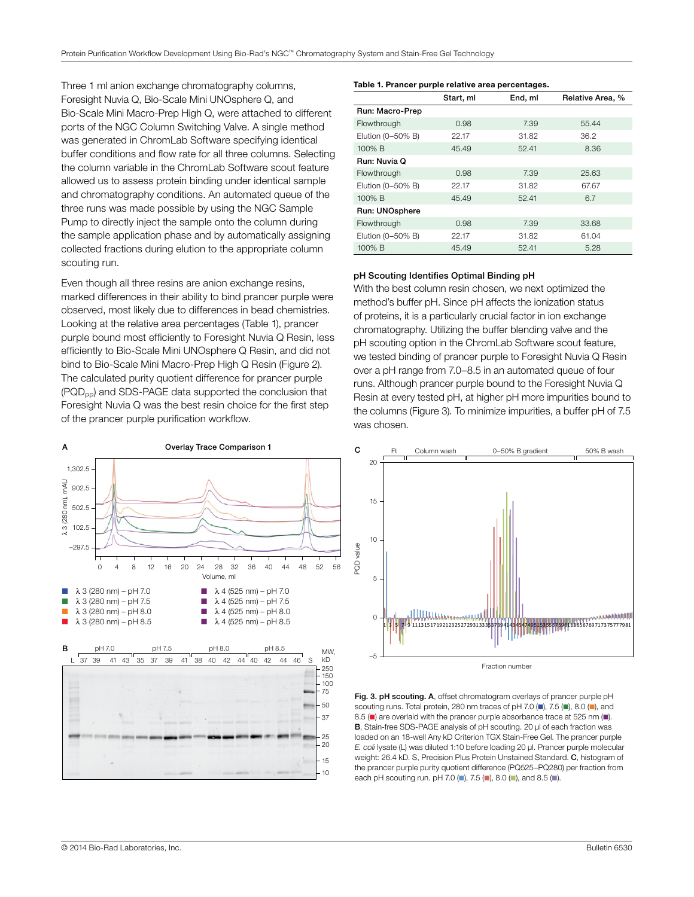Three 1 ml anion exchange chromatography columns, Foresight Nuvia Q, Bio-Scale Mini UNOsphere Q, and Bio-Scale Mini Macro-Prep High Q, were attached to different ports of the NGC Column Switching Valve. A single method was generated in ChromLab Software specifying identical buffer conditions and flow rate for all three columns. Selecting the column variable in the ChromLab Software scout feature allowed us to assess protein binding under identical sample and chromatography conditions. An automated queue of the three runs was made possible by using the NGC Sample Pump to directly inject the sample onto the column during the sample application phase and by automatically assigning collected fractions during elution to the appropriate column scouting run.

Even though all three resins are anion exchange resins, marked differences in their ability to bind prancer purple were observed, most likely due to differences in bead chemistries. Looking at the relative area percentages (Table 1), prancer purple bound most efficiently to Foresight Nuvia Q Resin, less efficiently to Bio-Scale Mini UNOsphere Q Resin, and did not bind to Bio-Scale Mini Macro-Prep High Q Resin (Figure 2). The calculated purity quotient difference for prancer purple (PQD<sub>pp</sub>) and SDS-PAGE data supported the conclusion that Foresight Nuvia Q was the best resin choice for the first step of the prancer purple purification workflow.



#### Table 1. Prancer purple relative area percentages.

|                   | Start, ml | End, ml | Relative Area, % |
|-------------------|-----------|---------|------------------|
| Run: Macro-Prep   |           |         |                  |
| Flowthrough       | 0.98      | 7.39    | 55.44            |
| Elution (0-50% B) | 22.17     | 31.82   | 36.2             |
| 100% B            | 45.49     | 52.41   | 8.36             |
| Run: Nuvia Q      |           |         |                  |
| Flowthrough       | 0.98      | 7.39    | 25.63            |
| Elution (0-50% B) | 22.17     | 31.82   | 67.67            |
| 100% B            | 45.49     | 52.41   | 6.7              |
| Run: UNOsphere    |           |         |                  |
| Flowthrough       | 0.98      | 7.39    | 33.68            |
| Elution (0-50% B) | 22.17     | 31.82   | 61.04            |
| 100% B            | 45.49     | 52.41   | 5.28             |

#### pH Scouting Identifies Optimal Binding pH

With the best column resin chosen, we next optimized the method's buffer pH. Since pH affects the ionization status of proteins, it is a particularly crucial factor in ion exchange chromatography. Utilizing the buffer blending valve and the pH scouting option in the ChromLab Software scout feature, we tested binding of prancer purple to Foresight Nuvia Q Resin over a pH range from 7.0–8.5 in an automated queue of four runs. Although prancer purple bound to the Foresight Nuvia Q Resin at every tested pH, at higher pH more impurities bound to the columns (Figure 3). To minimize impurities, a buffer pH of 7.5 was chosen.



Fig. 3. pH scouting. A, offset chromatogram overlays of prancer purple pH scouting runs. Total protein, 280 nm traces of pH 7.0 ( $\blacksquare$ ), 7.5 ( $\blacksquare$ ), 8.0 ( $\blacksquare$ ), and 8.5 ( $\blacksquare$ ) are overlaid with the prancer purple absorbance trace at 525 nm ( $\blacksquare$ ). B, Stain-free SDS-PAGE analysis of pH scouting. 20 µl of each fraction was loaded on an 18-well Any kD Criterion TGX Stain-Free Gel. The prancer purple *E. coli* lysate (L) was diluted 1:10 before loading 20 µl. Prancer purple molecular weight: 26.4 kD. S. Precision Plus Protein Unstained Standard. C. histogram of the prancer purple purity quotient difference (PQ525–PQ280) per fraction from each pH scouting run. pH 7.0 (n), 7.5 (n), 8.0 (n), and 8.5 (m).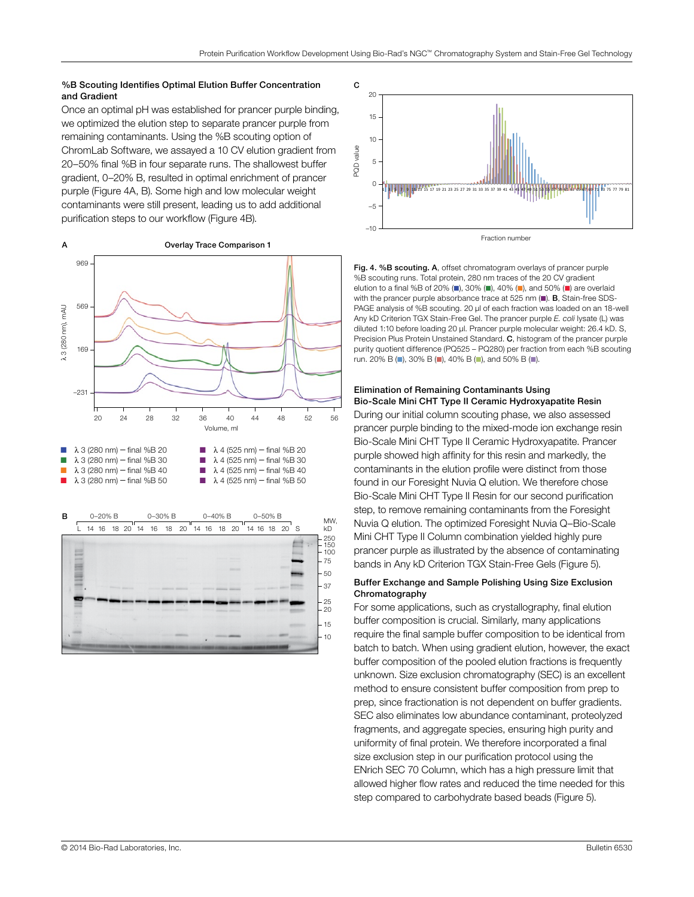#### %B Scouting Identifies Optimal Elution Buffer Concentration and Gradient

Once an optimal pH was established for prancer purple binding, we optimized the elution step to separate prancer purple from remaining contaminants. Using the %B scouting option of ChromLab Software, we assayed a 10 CV elution gradient from 20–50% final %B in four separate runs. The shallowest buffer gradient, 0–20% B, resulted in optimal enrichment of prancer purple (Figure 4A, B). Some high and low molecular weight contaminants were still present, leading us to add additional purification steps to our workflow (Figure 4B).





Fig. 4. %B scouting. A, offset chromatogram overlays of prancer purple %B scouting runs. Total protein, 280 nm traces of the 20 CV gradient elution to a final %B of 20% ( $\blacksquare$ ), 30% ( $\blacksquare$ ), 40% ( $\blacksquare$ ), and 50% ( $\blacksquare$ ) are overlaid with the prancer purple absorbance trace at 525 nm  $(\blacksquare)$ . B, Stain-free SDS-PAGE analysis of %B scouting. 20 µl of each fraction was loaded on an 18-well Any kD Criterion TGX Stain-Free Gel. The prancer purple *E. coli* lysate (L) was diluted 1:10 before loading 20 µl. Prancer purple molecular weight: 26.4 kD. S, Precision Plus Protein Unstained Standard. C, histogram of the prancer purple purity quotient difference (PQ525 – PQ280) per fraction from each %B scouting run. 20% B (n), 30% B (n), 40% B (n), and 50% B (n).

#### Elimination of Remaining Contaminants Using Bio-Scale Mini CHT Type II Ceramic Hydroxyapatite Resin

During our initial column scouting phase, we also assessed prancer purple binding to the mixed-mode ion exchange resin Bio-Scale Mini CHT Type II Ceramic Hydroxyapatite. Prancer purple showed high affinity for this resin and markedly, the contaminants in the elution profile were distinct from those found in our Foresight Nuvia Q elution. We therefore chose Bio-Scale Mini CHT Type II Resin for our second purification step, to remove remaining contaminants from the Foresight Nuvia Q elution. The optimized Foresight Nuvia Q–Bio-Scale Mini CHT Type II Column combination yielded highly pure prancer purple as illustrated by the absence of contaminating bands in Any kD Criterion TGX Stain-Free Gels (Figure 5).

#### Buffer Exchange and Sample Polishing Using Size Exclusion Chromatography

For some applications, such as crystallography, final elution buffer composition is crucial. Similarly, many applications require the final sample buffer composition to be identical from batch to batch. When using gradient elution, however, the exact buffer composition of the pooled elution fractions is frequently unknown. Size exclusion chromatography (SEC) is an excellent method to ensure consistent buffer composition from prep to prep, since fractionation is not dependent on buffer gradients. SEC also eliminates low abundance contaminant, proteolyzed fragments, and aggregate species, ensuring high purity and uniformity of final protein. We therefore incorporated a final size exclusion step in our purification protocol using the ENrich SEC 70 Column, which has a high pressure limit that allowed higher flow rates and reduced the time needed for this step compared to carbohydrate based beads (Figure 5).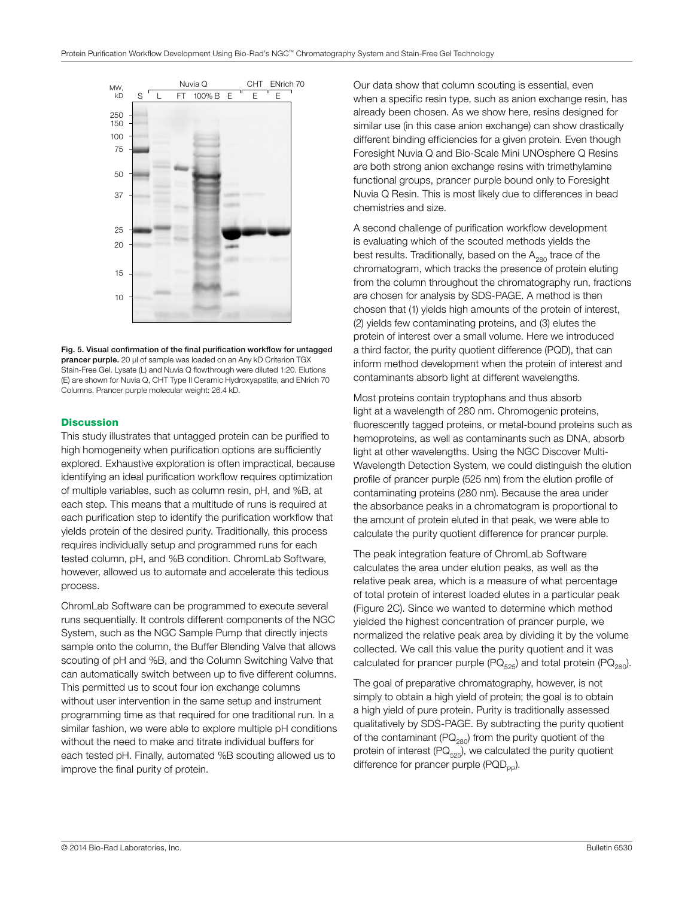

Fig. 5. Visual confirmation of the final purification workflow for untagged **prancer purple.** 20 µl of sample was loaded on an Any kD Criterion TGX Stain-Free Gel. Lysate (L) and Nuvia Q flowthrough were diluted 1:20. Elutions (E) are shown for Nuvia Q, CHT Type II Ceramic Hydroxyapatite, and ENrich 70 Columns. Prancer purple molecular weight: 26.4 kD.

## **Discussion**

This study illustrates that untagged protein can be purified to high homogeneity when purification options are sufficiently explored. Exhaustive exploration is often impractical, because identifying an ideal purification workflow requires optimization of multiple variables, such as column resin, pH, and %B, at each step. This means that a multitude of runs is required at each purification step to identify the purification workflow that yields protein of the desired purity. Traditionally, this process requires individually setup and programmed runs for each tested column, pH, and %B condition. ChromLab Software, however, allowed us to automate and accelerate this tedious process.

ChromLab Software can be programmed to execute several runs sequentially. It controls different components of the NGC System, such as the NGC Sample Pump that directly injects sample onto the column, the Buffer Blending Valve that allows scouting of pH and %B, and the Column Switching Valve that can automatically switch between up to five different columns. This permitted us to scout four ion exchange columns without user intervention in the same setup and instrument programming time as that required for one traditional run. In a similar fashion, we were able to explore multiple pH conditions without the need to make and titrate individual buffers for each tested pH. Finally, automated %B scouting allowed us to improve the final purity of protein.

Our data show that column scouting is essential, even when a specific resin type, such as anion exchange resin, has already been chosen. As we show here, resins designed for similar use (in this case anion exchange) can show drastically different binding efficiencies for a given protein. Even though Foresight Nuvia Q and Bio-Scale Mini UNOsphere Q Resins are both strong anion exchange resins with trimethylamine functional groups, prancer purple bound only to Foresight Nuvia Q Resin. This is most likely due to differences in bead chemistries and size.

A second challenge of purification workflow development is evaluating which of the scouted methods yields the best results. Traditionally, based on the  $A_{280}$  trace of the chromatogram, which tracks the presence of protein eluting from the column throughout the chromatography run, fractions are chosen for analysis by SDS-PAGE. A method is then chosen that (1) yields high amounts of the protein of interest, (2) yields few contaminating proteins, and (3) elutes the protein of interest over a small volume. Here we introduced a third factor, the purity quotient difference (PQD), that can inform method development when the protein of interest and contaminants absorb light at different wavelengths.

Most proteins contain tryptophans and thus absorb light at a wavelength of 280 nm. Chromogenic proteins, fluorescently tagged proteins, or metal-bound proteins such as hemoproteins, as well as contaminants such as DNA, absorb light at other wavelengths. Using the NGC Discover Multi-Wavelength Detection System, we could distinguish the elution profile of prancer purple (525 nm) from the elution profile of contaminating proteins (280 nm). Because the area under the absorbance peaks in a chromatogram is proportional to the amount of protein eluted in that peak, we were able to calculate the purity quotient difference for prancer purple.

The peak integration feature of ChromLab Software calculates the area under elution peaks, as well as the relative peak area, which is a measure of what percentage of total protein of interest loaded elutes in a particular peak (Figure 2C). Since we wanted to determine which method yielded the highest concentration of prancer purple, we normalized the relative peak area by dividing it by the volume collected. We call this value the purity quotient and it was calculated for prancer purple  $(PQ_{525})$  and total protein  $(PQ_{280})$ .

The goal of preparative chromatography, however, is not simply to obtain a high yield of protein; the goal is to obtain a high yield of pure protein. Purity is traditionally assessed qualitatively by SDS-PAGE. By subtracting the purity quotient of the contaminant ( $PQ_{280}$ ) from the purity quotient of the protein of interest ( $PQ_{525}$ ), we calculated the purity quotient difference for prancer purple  $(PQD_{po})$ .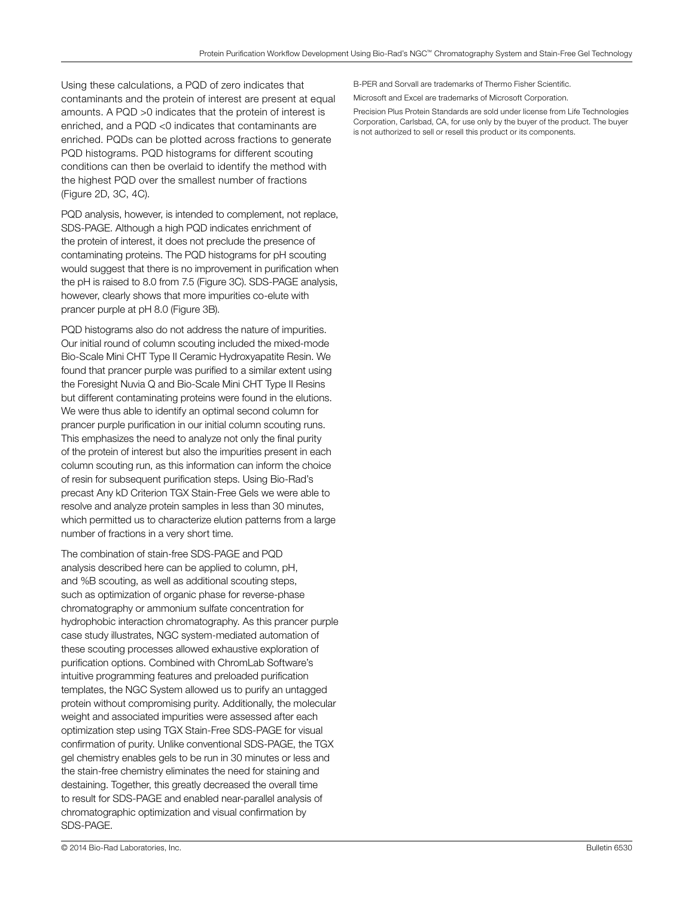Using these calculations, a PQD of zero indicates that contaminants and the protein of interest are present at equal amounts. A PQD >0 indicates that the protein of interest is enriched, and a PQD <0 indicates that contaminants are enriched. PQDs can be plotted across fractions to generate PQD histograms. PQD histograms for different scouting conditions can then be overlaid to identify the method with the highest PQD over the smallest number of fractions (Figure 2D, 3C, 4C).

PQD analysis, however, is intended to complement, not replace, SDS-PAGE. Although a high PQD indicates enrichment of the protein of interest, it does not preclude the presence of contaminating proteins. The PQD histograms for pH scouting would suggest that there is no improvement in purification when the pH is raised to 8.0 from 7.5 (Figure 3C). SDS-PAGE analysis, however, clearly shows that more impurities co-elute with prancer purple at pH 8.0 (Figure 3B).

PQD histograms also do not address the nature of impurities. Our initial round of column scouting included the mixed-mode Bio-Scale Mini CHT Type II Ceramic Hydroxyapatite Resin. We found that prancer purple was purified to a similar extent using the Foresight Nuvia Q and Bio-Scale Mini CHT Type II Resins but different contaminating proteins were found in the elutions. We were thus able to identify an optimal second column for prancer purple purification in our initial column scouting runs. This emphasizes the need to analyze not only the final purity of the protein of interest but also the impurities present in each column scouting run, as this information can inform the choice of resin for subsequent purification steps. Using Bio-Rad's precast Any kD Criterion TGX Stain-Free Gels we were able to resolve and analyze protein samples in less than 30 minutes, which permitted us to characterize elution patterns from a large number of fractions in a very short time.

The combination of stain-free SDS-PAGE and PQD analysis described here can be applied to column, pH, and %B scouting, as well as additional scouting steps, such as optimization of organic phase for reverse-phase chromatography or ammonium sulfate concentration for hydrophobic interaction chromatography. As this prancer purple case study illustrates, NGC system-mediated automation of these scouting processes allowed exhaustive exploration of purification options. Combined with ChromLab Software's intuitive programming features and preloaded purification templates, the NGC System allowed us to purify an untagged protein without compromising purity. Additionally, the molecular weight and associated impurities were assessed after each optimization step using TGX Stain-Free SDS-PAGE for visual confirmation of purity. Unlike conventional SDS-PAGE, the TGX gel chemistry enables gels to be run in 30 minutes or less and the stain-free chemistry eliminates the need for staining and destaining. Together, this greatly decreased the overall time to result for SDS-PAGE and enabled near-parallel analysis of chromatographic optimization and visual confirmation by SDS-PAGE.

B-PER and Sorvall are trademarks of Thermo Fisher Scientific.

Microsoft and Excel are trademarks of Microsoft Corporation.

Precision Plus Protein Standards are sold under license from Life Technologies Corporation, Carlsbad, CA, for use only by the buyer of the product. The buyer is not authorized to sell or resell this product or its components.